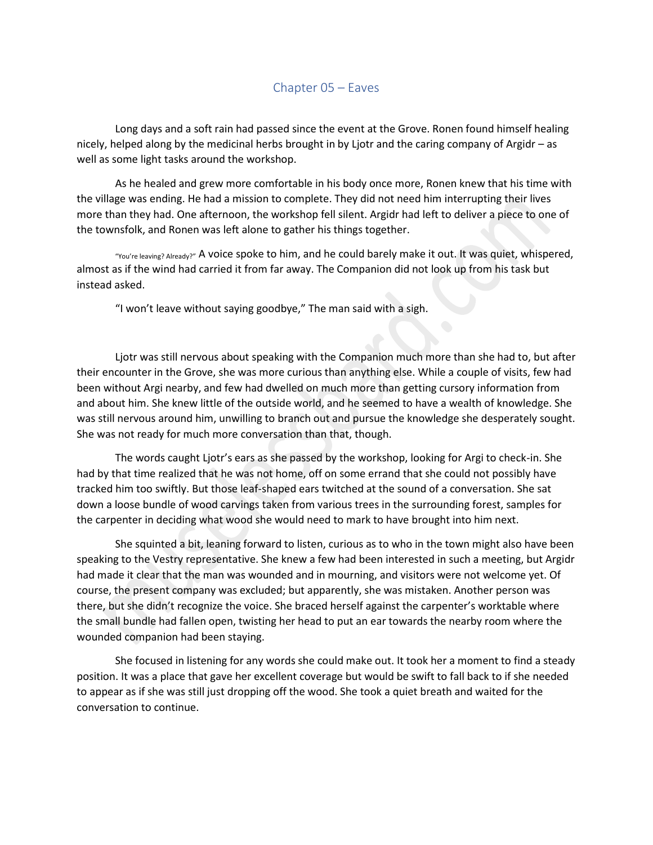## Chapter 05 – Eaves

Long days and a soft rain had passed since the event at the Grove. Ronen found himself healing nicely, helped along by the medicinal herbs brought in by Ljotr and the caring company of Argidr – as well as some light tasks around the workshop.

As he healed and grew more comfortable in his body once more, Ronen knew that his time with the village was ending. He had a mission to complete. They did not need him interrupting their lives more than they had. One afternoon, the workshop fell silent. Argidr had left to deliver a piece to one of the townsfolk, and Ronen was left alone to gather his things together.

"You're leaving? Already?" A voice spoke to him, and he could barely make it out. It was quiet, whispered, almost as if the wind had carried it from far away. The Companion did not look up from his task but instead asked.

"I won't leave without saying goodbye," The man said with a sigh.

Ljotr was still nervous about speaking with the Companion much more than she had to, but after their encounter in the Grove, she was more curious than anything else. While a couple of visits, few had been without Argi nearby, and few had dwelled on much more than getting cursory information from and about him. She knew little of the outside world, and he seemed to have a wealth of knowledge. She was still nervous around him, unwilling to branch out and pursue the knowledge she desperately sought. She was not ready for much more conversation than that, though.

The words caught Ljotr's ears as she passed by the workshop, looking for Argi to check-in. She had by that time realized that he was not home, off on some errand that she could not possibly have tracked him too swiftly. But those leaf-shaped ears twitched at the sound of a conversation. She sat down a loose bundle of wood carvings taken from various trees in the surrounding forest, samples for the carpenter in deciding what wood she would need to mark to have brought into him next.

She squinted a bit, leaning forward to listen, curious as to who in the town might also have been speaking to the Vestry representative. She knew a few had been interested in such a meeting, but Argidr had made it clear that the man was wounded and in mourning, and visitors were not welcome yet. Of course, the present company was excluded; but apparently, she was mistaken. Another person was there, but she didn't recognize the voice. She braced herself against the carpenter's worktable where the small bundle had fallen open, twisting her head to put an ear towards the nearby room where the wounded companion had been staying.

She focused in listening for any words she could make out. It took her a moment to find a steady position. It was a place that gave her excellent coverage but would be swift to fall back to if she needed to appear as if she was still just dropping off the wood. She took a quiet breath and waited for the conversation to continue.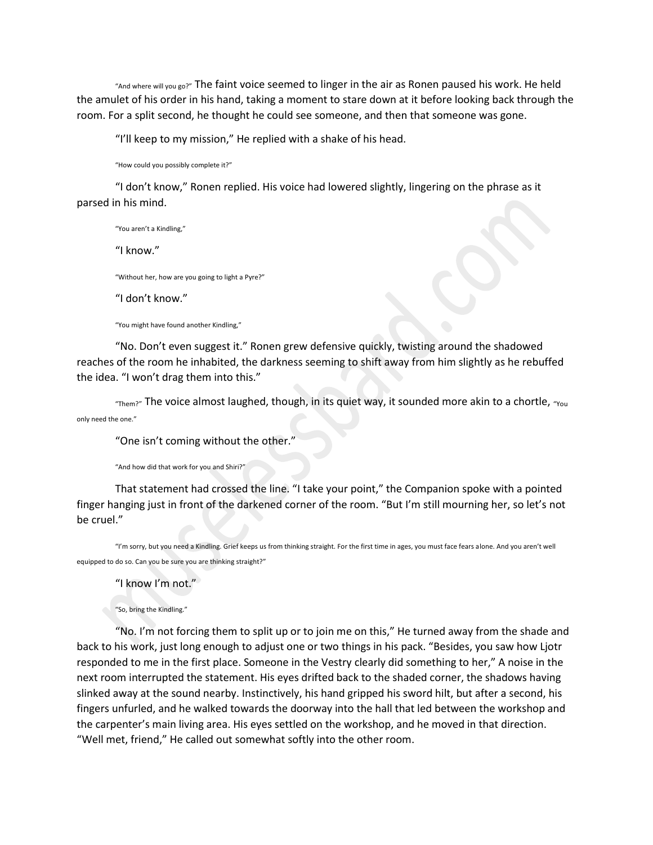"And where will you go?" The faint voice seemed to linger in the air as Ronen paused his work. He held the amulet of his order in his hand, taking a moment to stare down at it before looking back through the room. For a split second, he thought he could see someone, and then that someone was gone.

"I'll keep to my mission," He replied with a shake of his head.

"How could you possibly complete it?"

"I don't know," Ronen replied. His voice had lowered slightly, lingering on the phrase as it parsed in his mind.

"You aren't a Kindling," "I know." "Without her, how are you going to light a Pyre?" "I don't know."

"You might have found another Kindling,"

"No. Don't even suggest it." Ronen grew defensive quickly, twisting around the shadowed reaches of the room he inhabited, the darkness seeming to shift away from him slightly as he rebuffed the idea. "I won't drag them into this."

 $r_{\text{Them}2}$ " The voice almost laughed, though, in its quiet way, it sounded more akin to a chortle,  $r_{\text{you}}$ only need the one."

"One isn't coming without the other."

"And how did that work for you and Shiri?"

That statement had crossed the line. "I take your point," the Companion spoke with a pointed finger hanging just in front of the darkened corner of the room. "But I'm still mourning her, so let's not be cruel."

"I'm sorry, but you need a Kindling. Grief keeps us from thinking straight. For the first time in ages, you must face fears alone. And you aren't well equipped to do so. Can you be sure you are thinking straight?"

"I know I'm not."

"So, bring the Kindling."

"No. I'm not forcing them to split up or to join me on this," He turned away from the shade and back to his work, just long enough to adjust one or two things in his pack. "Besides, you saw how Ljotr responded to me in the first place. Someone in the Vestry clearly did something to her," A noise in the next room interrupted the statement. His eyes drifted back to the shaded corner, the shadows having slinked away at the sound nearby. Instinctively, his hand gripped his sword hilt, but after a second, his fingers unfurled, and he walked towards the doorway into the hall that led between the workshop and the carpenter's main living area. His eyes settled on the workshop, and he moved in that direction. "Well met, friend," He called out somewhat softly into the other room.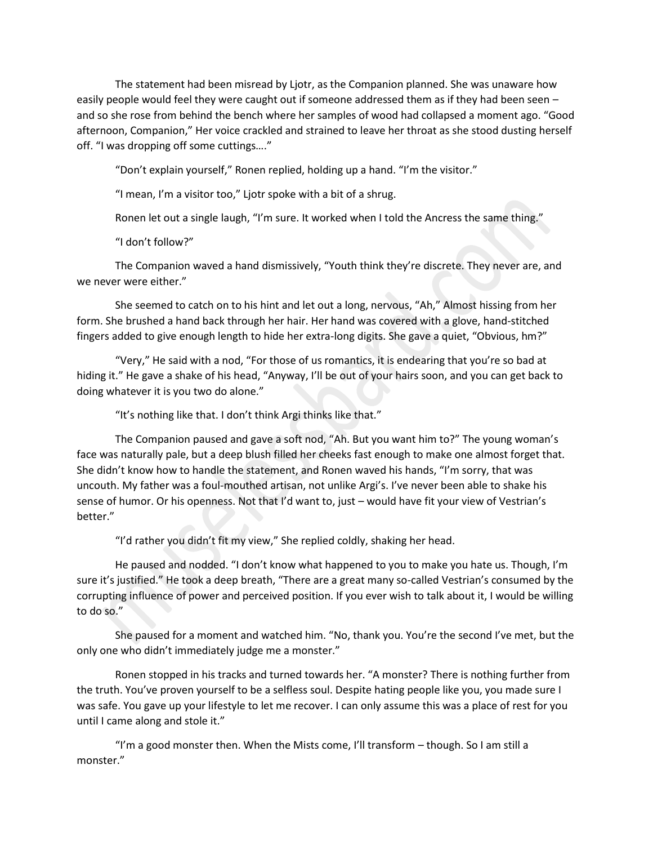The statement had been misread by Ljotr, as the Companion planned. She was unaware how easily people would feel they were caught out if someone addressed them as if they had been seen – and so she rose from behind the bench where her samples of wood had collapsed a moment ago. "Good afternoon, Companion," Her voice crackled and strained to leave her throat as she stood dusting herself off. "I was dropping off some cuttings…."

"Don't explain yourself," Ronen replied, holding up a hand. "I'm the visitor."

"I mean, I'm a visitor too," Ljotr spoke with a bit of a shrug.

Ronen let out a single laugh, "I'm sure. It worked when I told the Ancress the same thing."

"I don't follow?"

The Companion waved a hand dismissively, "Youth think they're discrete. They never are, and we never were either."

She seemed to catch on to his hint and let out a long, nervous, "Ah," Almost hissing from her form. She brushed a hand back through her hair. Her hand was covered with a glove, hand-stitched fingers added to give enough length to hide her extra-long digits. She gave a quiet, "Obvious, hm?"

"Very," He said with a nod, "For those of us romantics, it is endearing that you're so bad at hiding it." He gave a shake of his head, "Anyway, I'll be out of your hairs soon, and you can get back to doing whatever it is you two do alone."

"It's nothing like that. I don't think Argi thinks like that."

The Companion paused and gave a soft nod, "Ah. But you want him to?" The young woman's face was naturally pale, but a deep blush filled her cheeks fast enough to make one almost forget that. She didn't know how to handle the statement, and Ronen waved his hands, "I'm sorry, that was uncouth. My father was a foul-mouthed artisan, not unlike Argi's. I've never been able to shake his sense of humor. Or his openness. Not that I'd want to, just – would have fit your view of Vestrian's better."

"I'd rather you didn't fit my view," She replied coldly, shaking her head.

He paused and nodded. "I don't know what happened to you to make you hate us. Though, I'm sure it's justified." He took a deep breath, "There are a great many so-called Vestrian's consumed by the corrupting influence of power and perceived position. If you ever wish to talk about it, I would be willing to do so."

She paused for a moment and watched him. "No, thank you. You're the second I've met, but the only one who didn't immediately judge me a monster."

Ronen stopped in his tracks and turned towards her. "A monster? There is nothing further from the truth. You've proven yourself to be a selfless soul. Despite hating people like you, you made sure I was safe. You gave up your lifestyle to let me recover. I can only assume this was a place of rest for you until I came along and stole it."

"I'm a good monster then. When the Mists come, I'll transform – though. So I am still a monster."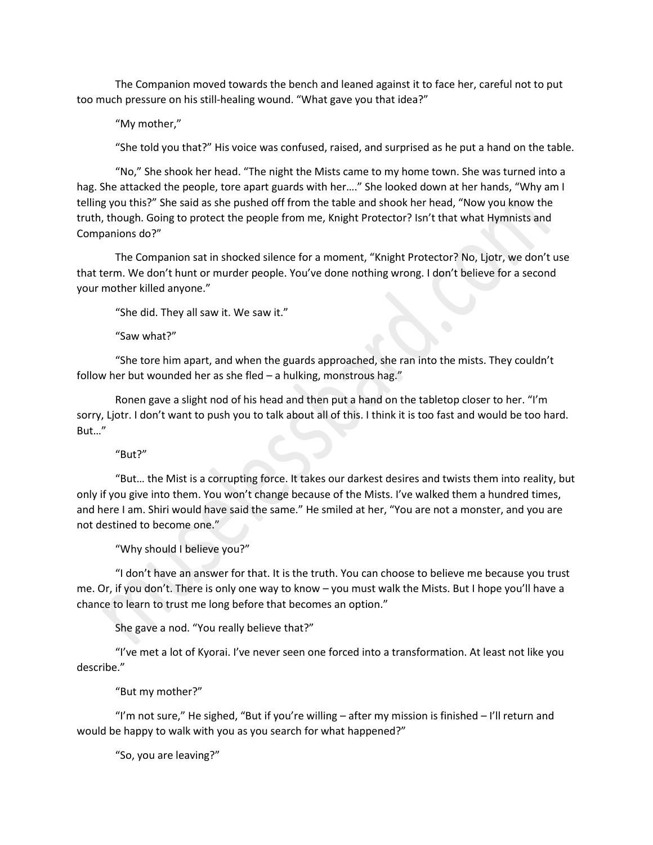The Companion moved towards the bench and leaned against it to face her, careful not to put too much pressure on his still-healing wound. "What gave you that idea?"

"My mother,"

"She told you that?" His voice was confused, raised, and surprised as he put a hand on the table.

"No," She shook her head. "The night the Mists came to my home town. She was turned into a hag. She attacked the people, tore apart guards with her...." She looked down at her hands, "Why am I telling you this?" She said as she pushed off from the table and shook her head, "Now you know the truth, though. Going to protect the people from me, Knight Protector? Isn't that what Hymnists and Companions do?"

The Companion sat in shocked silence for a moment, "Knight Protector? No, Ljotr, we don't use that term. We don't hunt or murder people. You've done nothing wrong. I don't believe for a second your mother killed anyone."

"She did. They all saw it. We saw it."

"Saw what?"

"She tore him apart, and when the guards approached, she ran into the mists. They couldn't follow her but wounded her as she fled – a hulking, monstrous hag."

Ronen gave a slight nod of his head and then put a hand on the tabletop closer to her. "I'm sorry, Ljotr. I don't want to push you to talk about all of this. I think it is too fast and would be too hard. But…"

"But?"

"But… the Mist is a corrupting force. It takes our darkest desires and twists them into reality, but only if you give into them. You won't change because of the Mists. I've walked them a hundred times, and here I am. Shiri would have said the same." He smiled at her, "You are not a monster, and you are not destined to become one."

"Why should I believe you?"

"I don't have an answer for that. It is the truth. You can choose to believe me because you trust me. Or, if you don't. There is only one way to know – you must walk the Mists. But I hope you'll have a chance to learn to trust me long before that becomes an option."

She gave a nod. "You really believe that?"

"I've met a lot of Kyorai. I've never seen one forced into a transformation. At least not like you describe."

"But my mother?"

"I'm not sure," He sighed, "But if you're willing – after my mission is finished – I'll return and would be happy to walk with you as you search for what happened?"

"So, you are leaving?"